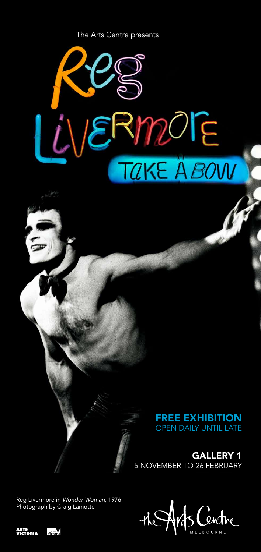The Arts Centre presents

# RMOTE<br>TAKE ABOW Έ  $\lfloor t \rfloor$

## FREE exhibition

Open daily until late

GALLERY 1 5 November to 26 February

Reg Livermore in *Wonder Woman*, 1976 Photograph by Craig Lamotte

 $V<sub>left</sub>$ 

the AMS Centre